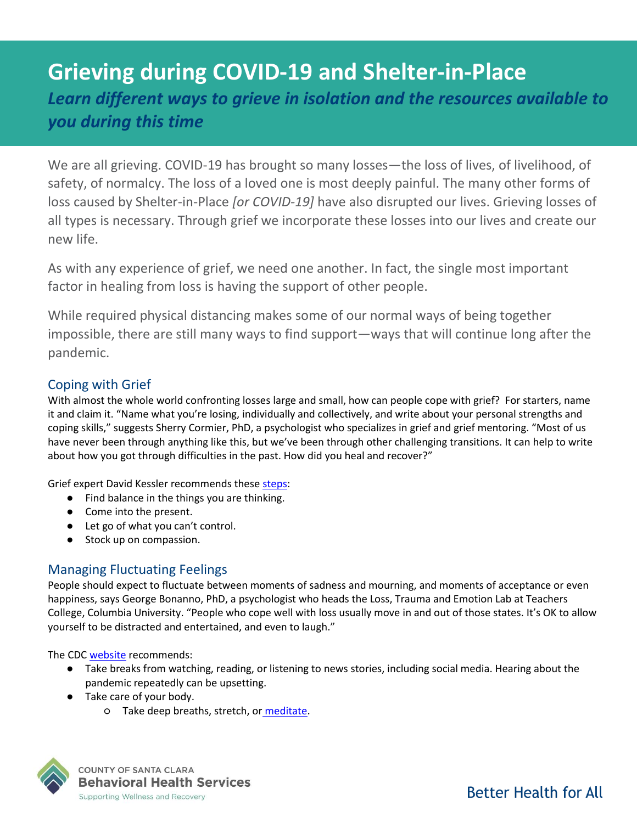# **Grieving during COVID-19 and Shelter-in-Place** *Learn different ways to grieve in isolation and the resources available to you during this time*

We are all grieving. COVID-19 has brought so many losses—the loss of lives, of livelihood, of safety, of normalcy. The loss of a loved one is most deeply painful. The many other forms of loss caused by Shelter-in-Place *[or COVID-19]* have also disrupted our lives. Grieving losses of all types is necessary. Through grief we incorporate these losses into our lives and create our new life.

As with any experience of grief, we need one another. In fact, the single most important factor in healing from loss is having the support of other people.

While required physical distancing makes some of our normal ways of being together impossible, there are still many ways to find support—ways that will continue long after the pandemic.

## Coping with Grief

With almost the whole world confronting losses large and small, how can people cope with grief? For starters, name it and claim it. "Name what you're losing, individually and collectively, and write about your personal strengths and coping skills," suggests Sherry Cormier, PhD, a psychologist who specializes in grief and grief mentoring. "Most of us have never been through anything like this, but we've been through other challenging transitions. It can help to write about how you got through difficulties in the past. How did you heal and recover?"

Grief expert David Kessler recommends thes[e steps:](https://hbr.org/2020/03/that-discomfort-youre-feeling-is-grief?utm_medium=email&utm_source=newsletter_daily&utm_campaign=dailyalert_not_activesubs&referral=00563&deliveryName=DM73690)

- Find balance in the things you are thinking.
- Come into the present.
- Let go of what you can't control.
- Stock up on compassion.

## Managing Fluctuating Feelings

People should expect to fluctuate between moments of sadness and mourning, and moments of acceptance or even happiness, says George Bonanno, PhD, a psychologist who heads the Loss, Trauma and Emotion Lab at Teachers College, Columbia University. "People who cope well with loss usually move in and out of those states. It's OK to allow yourself to be distracted and entertained, and even to laugh."

The CDC [website](https://www.cdc.gov/coronavirus/2019-ncov/daily-life-coping/managing-stress-anxiety.html) recommends:

- Take breaks from watching, reading, or listening to news stories, including social media. Hearing about the pandemic repeatedly can be upsetting.
- Take care of your body.
	- Take deep breaths, stretch, or [meditate.](https://www.nccih.nih.gov/health/meditation-in-depth)



**COUNTY OF SANTA CLARA Behavioral Health Services** Supporting Wellness and Recovery

**Better Health for All**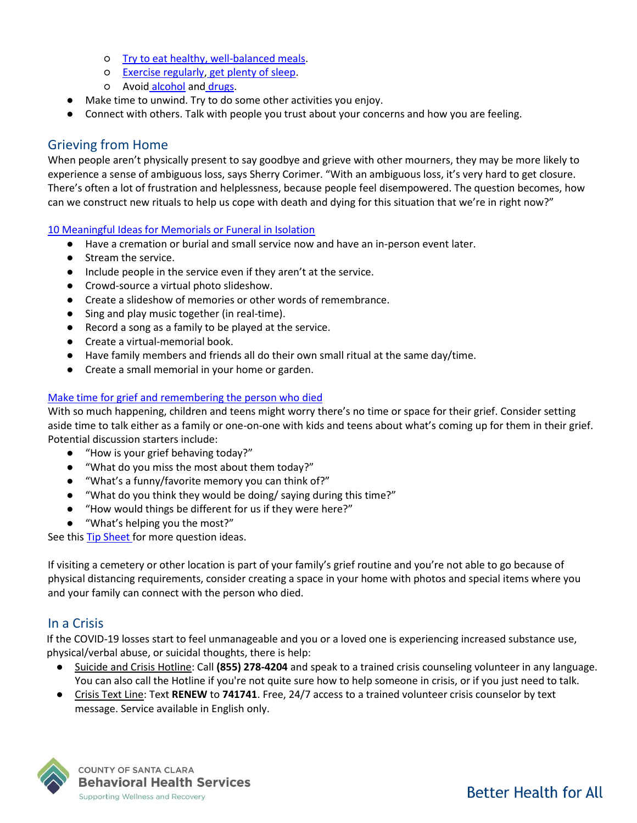- [Try to eat healthy, well-balanced meals.](https://www.cdc.gov/nccdphp/dnpao/features/national-nutrition-month/index.html)
- [Exercise regularly,](https://www.cdc.gov/physicalactivity/basics/index.htm) [get plenty of sleep.](https://www.cdc.gov/sleep/about_sleep/sleep_hygiene.html)
- o Avoi[d](https://www.drugabuse.gov/related-topics/health-consequences-drug-misuse) [alcohol](https://www.cdc.gov/alcohol/fact-sheets/alcohol-use.htm) and [drugs.](https://www.drugabuse.gov/related-topics/health-consequences-drug-misuse)
- Make time to unwind. Try to do some other activities you enjoy.
- Connect with others. Talk with people you trust about your concerns and how you are feeling.

## Grieving from Home

When people aren't physically present to say goodbye and grieve with other mourners, they may be more likely to experience a sense of ambiguous loss, says Sherry Corimer. "With an ambiguous loss, it's very hard to get closure. There's often a lot of frustration and helplessness, because people feel disempowered. The question becomes, how can we construct new rituals to help us cope with death and dying for this situation that we're in right now?"

#### [10 Meaningful Ideas for Memorials or Funeral in Isolation](https://whatsyourgrief.com/funerals-when-you-cant-be-together/)

- Have a cremation or burial and small service now and have an in-person event later.
- Stream the service.
- Include people in the service even if they aren't at the service.
- Crowd-source a virtual photo slideshow.
- Create a slideshow of memories or other words of remembrance.
- Sing and play music together (in real-time).
- Record a song as a family to be played at the service.
- Create a virtual-memorial book.
- Have family members and friends all do their own small ritual at the same day/time.
- Create a small memorial in your home or garden.

#### Make time for grief and [remembering the person who died](https://www.dougy.org/docs/Grief_during_COVID-19.pdf)

With so much happening, children and teens might worry there's no time or space for their grief. Consider setting aside time to talk either as a family or one-on-one with kids and teens about what's coming up for them in their grief. Potential discussion starters include:

- "How is your grief behaving today?"
- "What do you miss the most about them today?"
- "What's a funny/favorite memory you can think of?"
- "What do you think they would be doing/ saying during this time?"
- "How would things be different for us if they were here?"
- "What's helping you the most?"

See this [Tip Sheet f](https://www.dougy.org/docs/Facilitator_Tip_Sheet_Discussion_Starters.pdf)or more question ideas.

If visiting a cemetery or other location is part of your family's grief routine and you're not able to go because of physical distancing requirements, consider creating a space in your home with photos and special items where you and your family can connect with the person who died.

#### In a Crisis

If the COVID-19 losses start to feel unmanageable and you or a loved one is experiencing increased substance use, physical/verbal abuse, or suicidal thoughts, there is help:

- Suicide and Crisis Hotline: Call **(855) 278-4204** and speak to a trained crisis counseling volunteer in any language. You can also call the Hotline if you're not quite sure how to help someone in crisis, or if you just need to talk.
- Crisis Text Line: Text **RENEW** to **741741**. Free, 24/7 access to a trained volunteer crisis counselor by text message. Service available in English only.